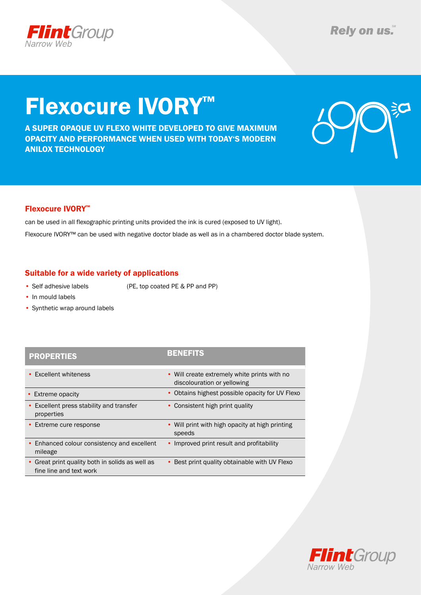

# Flexocure IVORY™

A super opaque uv flexo white developed to give maximum opacity and performance when used with today's modern anilox technology



### Flexocure IVORY™

can be used in all flexographic printing units provided the ink is cured (exposed to UV light).

Flexocure IVORY™ can be used with negative doctor blade as well as in a chambered doctor blade system.

### Suitable for a wide variety of applications

• Self adhesive labels (PE, top coated PE & PP and PP)

- In mould labels
- Synthetic wrap around labels

### PROPERTIES

|  |  | u | ー |  | ー | - | P) |
|--|--|---|---|--|---|---|----|
|--|--|---|---|--|---|---|----|

| • Excellent whiteness                                                      | • Will create extremely white prints with no<br>discolouration or yellowing |
|----------------------------------------------------------------------------|-----------------------------------------------------------------------------|
| • Extreme opacity                                                          | • Obtains highest possible opacity for UV Flexo                             |
| • Excellent press stability and transfer<br>properties                     | • Consistent high print quality                                             |
| • Extreme cure response                                                    | • Will print with high opacity at high printing<br>speeds                   |
| • Enhanced colour consistency and excellent<br>mileage                     | • Improved print result and profitability                                   |
| • Great print quality both in solids as well as<br>fine line and text work | • Best print quality obtainable with UV Flexo                               |